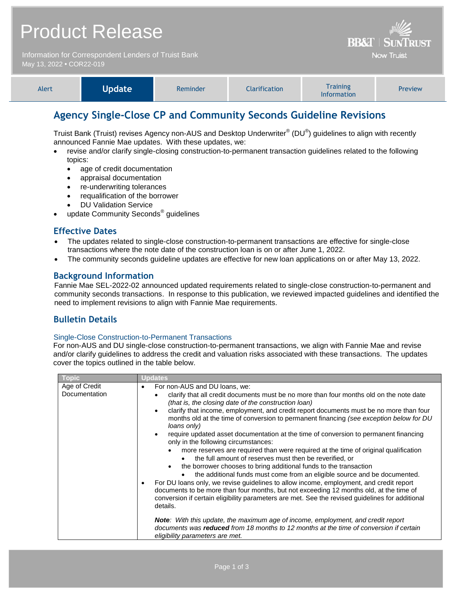|                                                                                  | <b>Product Release</b> | <b>BB&amp;T   SUNTRUST</b> |                   |                                                                                                                                                                                                                                                      |         |
|----------------------------------------------------------------------------------|------------------------|----------------------------|-------------------|------------------------------------------------------------------------------------------------------------------------------------------------------------------------------------------------------------------------------------------------------|---------|
| Information for Correspondent Lenders of Truist Bank<br>May 13, 2022 . COR22-019 |                        |                            | <b>Now Truist</b> |                                                                                                                                                                                                                                                      |         |
| Alert                                                                            | <b>Update</b>          | Reminder                   | Clarification     | <b>Training</b><br>$\mathbf{r}$ . The contract of the contract of the contract of the contract of the contract of the contract of the contract of the contract of the contract of the contract of the contract of the contract of the contract of th | Preview |

# **Agency Single-Close CP and Community Seconds Guideline Revisions**

Truist Bank (Truist) revises Agency non-AUS and Desktop Underwriter® (DU®) guidelines to align with recently announced Fannie Mae updates. With these updates, we:

Information

- revise and/or clarify single-closing construction-to-permanent transaction guidelines related to the following topics:
	- age of credit documentation
	- appraisal documentation
	- re-underwriting tolerances
	- requalification of the borrower
	- DU Validation Service
- update Community Seconds<sup>®</sup> guidelines

### **Effective Dates**

- The updates related to single-close construction-to-permanent transactions are effective for single-close transactions where the note date of the construction loan is on or after June 1, 2022.
- The community seconds guideline updates are effective for new loan applications on or after May 13, 2022.

## **Background Information**

Fannie Mae SEL-2022-02 announced updated requirements related to single-close construction-to-permanent and community seconds transactions. In response to this publication, we reviewed impacted guidelines and identified the need to implement revisions to align with Fannie Mae requirements.

## **Bulletin Details**

#### Single-Close Construction-to-Permanent Transactions

For non-AUS and DU single-close construction-to-permanent transactions, we align with Fannie Mae and revise and/or clarify guidelines to address the credit and valuation risks associated with these transactions. The updates cover the topics outlined in the table below.

| <b>LODIC</b>                   | Updates                                                                                                                                                                                                                                                                                                                                                                                                                                                                                                                                                                                                                                                                                                                                                                                                                                                                                                                                                                                                                                                                                                                                                                                                                                                                                                                                                                                    |
|--------------------------------|--------------------------------------------------------------------------------------------------------------------------------------------------------------------------------------------------------------------------------------------------------------------------------------------------------------------------------------------------------------------------------------------------------------------------------------------------------------------------------------------------------------------------------------------------------------------------------------------------------------------------------------------------------------------------------------------------------------------------------------------------------------------------------------------------------------------------------------------------------------------------------------------------------------------------------------------------------------------------------------------------------------------------------------------------------------------------------------------------------------------------------------------------------------------------------------------------------------------------------------------------------------------------------------------------------------------------------------------------------------------------------------------|
| Age of Credit<br>Documentation | For non-AUS and DU loans, we:<br>$\bullet$<br>clarify that all credit documents must be no more than four months old on the note date<br>(that is, the closing date of the construction loan)<br>clarify that income, employment, and credit report documents must be no more than four<br>$\bullet$<br>months old at the time of conversion to permanent financing (see exception below for DU<br>loans only)<br>require updated asset documentation at the time of conversion to permanent financing<br>$\bullet$<br>only in the following circumstances:<br>more reserves are required than were required at the time of original qualification<br>the full amount of reserves must then be reverified, or<br>the borrower chooses to bring additional funds to the transaction<br>the additional funds must come from an eligible source and be documented.<br>For DU loans only, we revise guidelines to allow income, employment, and credit report<br>documents to be more than four months, but not exceeding 12 months old, at the time of<br>conversion if certain eligibility parameters are met. See the revised guidelines for additional<br>details.<br><b>Note:</b> With this update, the maximum age of income, employment, and credit report<br>documents was reduced from 18 months to 12 months at the time of conversion if certain<br>eligibility parameters are met. |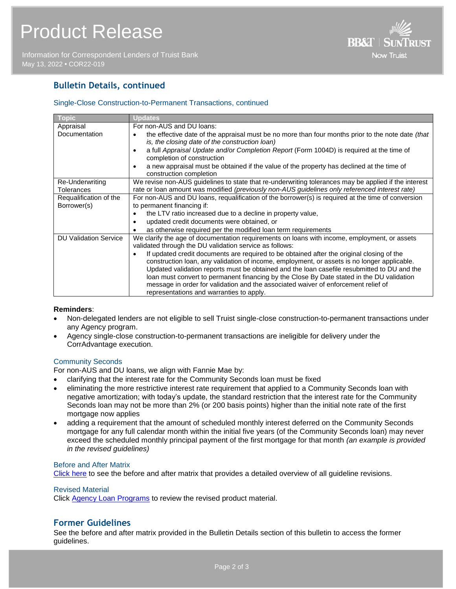Information for Correspondent Lenders of Truist Bank May 13, 2022 **•** COR22-019



## **Bulletin Details, continued**

#### Single-Close Construction-to-Permanent Transactions, continued

| <b>Topic</b>                 | <b>Updates</b>                                                                                                                                                                                                                                                                                                                                                                                                                                                                                                                      |
|------------------------------|-------------------------------------------------------------------------------------------------------------------------------------------------------------------------------------------------------------------------------------------------------------------------------------------------------------------------------------------------------------------------------------------------------------------------------------------------------------------------------------------------------------------------------------|
| Appraisal                    | For non-AUS and DU loans:                                                                                                                                                                                                                                                                                                                                                                                                                                                                                                           |
| Documentation                | the effective date of the appraisal must be no more than four months prior to the note date (that<br>$\bullet$<br>is, the closing date of the construction loan)                                                                                                                                                                                                                                                                                                                                                                    |
|                              | a full Appraisal Update and/or Completion Report (Form 1004D) is required at the time of<br>٠<br>completion of construction                                                                                                                                                                                                                                                                                                                                                                                                         |
|                              | a new appraisal must be obtained if the value of the property has declined at the time of<br>construction completion                                                                                                                                                                                                                                                                                                                                                                                                                |
| Re-Underwriting              | We revise non-AUS guidelines to state that re-underwriting tolerances may be applied if the interest                                                                                                                                                                                                                                                                                                                                                                                                                                |
| Tolerances                   | rate or loan amount was modified (previously non-AUS guidelines only referenced interest rate)                                                                                                                                                                                                                                                                                                                                                                                                                                      |
| Requalification of the       | For non-AUS and DU loans, requalification of the borrower(s) is required at the time of conversion                                                                                                                                                                                                                                                                                                                                                                                                                                  |
| Borrower(s)                  | to permanent financing if:                                                                                                                                                                                                                                                                                                                                                                                                                                                                                                          |
|                              | the LTV ratio increased due to a decline in property value,                                                                                                                                                                                                                                                                                                                                                                                                                                                                         |
|                              | updated credit documents were obtained, or                                                                                                                                                                                                                                                                                                                                                                                                                                                                                          |
|                              | as otherwise required per the modified loan term requirements                                                                                                                                                                                                                                                                                                                                                                                                                                                                       |
| <b>DU Validation Service</b> | We clarify the age of documentation requirements on loans with income, employment, or assets<br>validated through the DU validation service as follows:                                                                                                                                                                                                                                                                                                                                                                             |
|                              | If updated credit documents are required to be obtained after the original closing of the<br>$\bullet$<br>construction loan, any validation of income, employment, or assets is no longer applicable.<br>Updated validation reports must be obtained and the loan casefile resubmitted to DU and the<br>loan must convert to permanent financing by the Close By Date stated in the DU validation<br>message in order for validation and the associated waiver of enforcement relief of<br>representations and warranties to apply. |

#### **Reminders**:

- Non-delegated lenders are not eligible to sell Truist single-close construction-to-permanent transactions under any Agency program.
- Agency single-close construction-to-permanent transactions are ineligible for delivery under the CorrAdvantage execution.

#### Community Seconds

For non-AUS and DU loans, we align with Fannie Mae by:

- clarifying that the interest rate for the Community Seconds loan must be fixed
- eliminating the more restrictive interest rate requirement that applied to a Community Seconds loan with negative amortization; with today's update, the standard restriction that the interest rate for the Community Seconds loan may not be more than 2% (or 200 basis points) higher than the initial note rate of the first mortgage now applies
- adding a requirement that the amount of scheduled monthly interest deferred on the Community Seconds mortgage for any full calendar month within the initial five years (of the Community Seconds loan) may never exceed the scheduled monthly principal payment of the first mortgage for that month *(an example is provided in the revised guidelines)*

#### Before and After Matrix

[Click here](http://www.truistsellerguide.com/manual/cor/products/Cr22-019BA.pdf) to see the before and after matrix that provides a detailed overview of all guideline revisions.

#### Revised Material

Click [Agency Loan Programs](https://www.truistsellerguide.com/manual/cor/products/CAgency.pdf) to review the revised product material.

## **Former Guidelines**

See the before and after matrix provided in the Bulletin Details section of this bulletin to access the former guidelines.